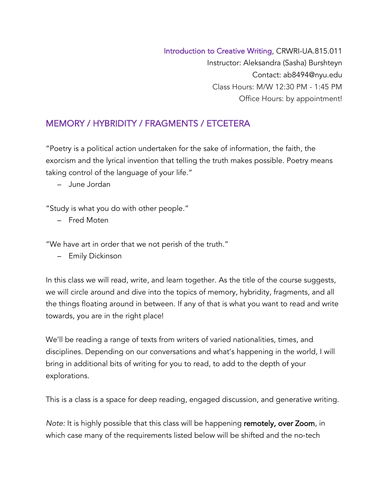Introduction to Creative Writing, CRWRI-UA.815.011 Instructor: Aleksandra (Sasha) Burshteyn Contact: ab8494@nyu.edu Class Hours: M/W 12:30 PM - 1:45 PM Office Hours: by appointment!

# MEMORY / HYBRIDITY / FRAGMENTS / ETCETERA

"Poetry is a political action undertaken for the sake of information, the faith, the exorcism and the lyrical invention that telling the truth makes possible. Poetry means taking control of the language of your life."

*–* June Jordan

"Study is what you do with other people."

*–* Fred Moten

"We have art in order that we not perish of the truth."

*–* Emily Dickinson

In this class we will read, write, and learn together. As the title of the course suggests, we will circle around and dive into the topics of memory, hybridity, fragments, and all the things floating around in between. If any of that is what you want to read and write towards, you are in the right place!

We'll be reading a range of texts from writers of varied nationalities, times, and disciplines. Depending on our conversations and what's happening in the world, I will bring in additional bits of writing for you to read, to add to the depth of your explorations.

This is a class is a space for deep reading, engaged discussion, and generative writing.

*Note:* It is highly possible that this class will be happening remotely, over Zoom, in which case many of the requirements listed below will be shifted and the no-tech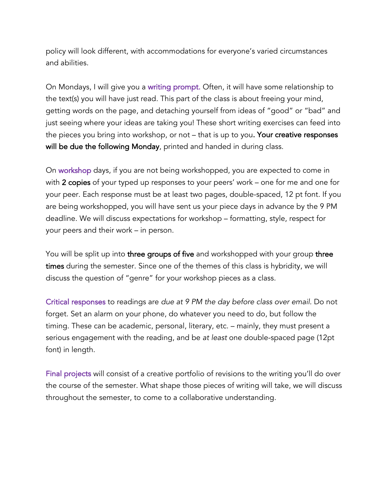policy will look different, with accommodations for everyone's varied circumstances and abilities.

On Mondays, I will give you a writing prompt. Often, it will have some relationship to the text(s) you will have just read. This part of the class is about freeing your mind, getting words on the page, and detaching yourself from ideas of "good" or "bad" and just seeing where your ideas are taking you! These short writing exercises can feed into the pieces you bring into workshop, or not – that is up to you. Your creative responses will be due the following Monday, printed and handed in during class.

On workshop days, if you are not being workshopped, you are expected to come in with 2 copies of your typed up responses to your peers' work – one for me and one for your peer. Each response must be at least two pages, double-spaced, 12 pt font. If you are being workshopped, you will have sent us your piece days in advance by the 9 PM deadline. We will discuss expectations for workshop – formatting, style, respect for your peers and their work – in person.

You will be split up into three groups of five and workshopped with your group three times during the semester. Since one of the themes of this class is hybridity, we will discuss the question of "genre" for your workshop pieces as a class.

Critical responses to readings are *due at 9 PM the day before class over email.* Do not forget. Set an alarm on your phone, do whatever you need to do, but follow the timing. These can be academic, personal, literary, etc. – mainly, they must present a serious engagement with the reading, and be *at least* one double-spaced page (12pt font) in length.

Final projects will consist of a creative portfolio of revisions to the writing you'll do over the course of the semester. What shape those pieces of writing will take, we will discuss throughout the semester, to come to a collaborative understanding.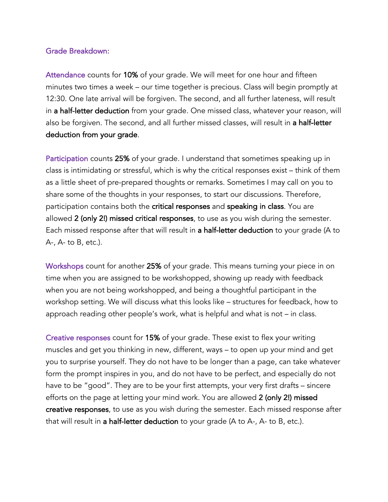#### Grade Breakdown:

Attendance counts for 10% of your grade. We will meet for one hour and fifteen minutes two times a week – our time together is precious. Class will begin promptly at 12:30. One late arrival will be forgiven. The second, and all further lateness, will result in a half-letter deduction from your grade. One missed class, whatever your reason, will also be forgiven. The second, and all further missed classes, will result in a half-letter deduction from your grade.

Participation counts 25% of your grade. I understand that sometimes speaking up in class is intimidating or stressful, which is why the critical responses exist – think of them as a little sheet of pre-prepared thoughts or remarks. Sometimes I may call on you to share some of the thoughts in your responses, to start our discussions. Therefore, participation contains both the critical responses and speaking in class. You are allowed 2 (only 2!) missed critical responses, to use as you wish during the semester. Each missed response after that will result in a half-letter deduction to your grade (A to A-, A- to B, etc.).

Workshops count for another 25% of your grade. This means turning your piece in on time when you are assigned to be workshopped, showing up ready with feedback when you are not being workshopped, and being a thoughtful participant in the workshop setting. We will discuss what this looks like – structures for feedback, how to approach reading other people's work, what is helpful and what is not – in class.

Creative responses count for 15% of your grade. These exist to flex your writing muscles and get you thinking in new, different, ways – to open up your mind and get you to surprise yourself. They do not have to be longer than a page, can take whatever form the prompt inspires in you, and do not have to be perfect, and especially do not have to be "good". They are to be your first attempts, your very first drafts – sincere efforts on the page at letting your mind work. You are allowed 2 (only 2!) missed creative responses, to use as you wish during the semester. Each missed response after that will result in a half-letter deduction to your grade (A to A-, A- to B, etc.).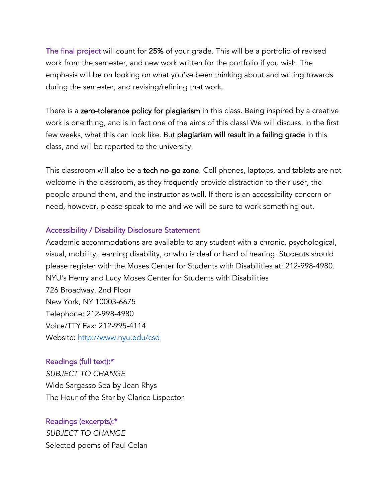The final project will count for 25% of your grade. This will be a portfolio of revised work from the semester, and new work written for the portfolio if you wish. The emphasis will be on looking on what you've been thinking about and writing towards during the semester, and revising/refining that work.

There is a zero-tolerance policy for plagiarism in this class. Being inspired by a creative work is one thing, and is in fact one of the aims of this class! We will discuss, in the first few weeks, what this can look like. But plagiarism will result in a failing grade in this class, and will be reported to the university.

This classroom will also be a tech no-go zone. Cell phones, laptops, and tablets are not welcome in the classroom, as they frequently provide distraction to their user, the people around them, and the instructor as well. If there is an accessibility concern or need, however, please speak to me and we will be sure to work something out.

#### Accessibility / Disability Disclosure Statement

Academic accommodations are available to any student with a chronic, psychological, visual, mobility, learning disability, or who is deaf or hard of hearing. Students should please register with the Moses Center for Students with Disabilities at: 212-998-4980. NYU's Henry and Lucy Moses Center for Students with Disabilities 726 Broadway, 2nd Floor New York, NY 10003-6675 Telephone: 212-998-4980 Voice/TTY Fax: 212-995-4114 Website: http://www.nyu.edu/csd

#### Readings (full text):\*

*SUBJECT TO CHANGE* Wide Sargasso Sea by Jean Rhys The Hour of the Star by Clarice Lispector

## Readings (excerpts):\*

*SUBJECT TO CHANGE* Selected poems of Paul Celan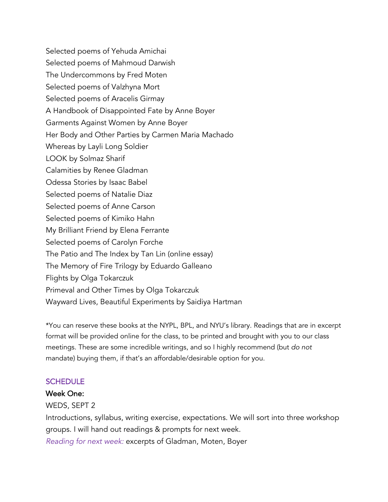Selected poems of Yehuda Amichai Selected poems of Mahmoud Darwish The Undercommons by Fred Moten Selected poems of Valzhyna Mort Selected poems of Aracelis Girmay A Handbook of Disappointed Fate by Anne Boyer Garments Against Women by Anne Boyer Her Body and Other Parties by Carmen Maria Machado Whereas by Layli Long Soldier LOOK by Solmaz Sharif Calamities by Renee Gladman Odessa Stories by Isaac Babel Selected poems of Natalie Diaz Selected poems of Anne Carson Selected poems of Kimiko Hahn My Brilliant Friend by Elena Ferrante Selected poems of Carolyn Forche The Patio and The Index by Tan Lin (online essay) The Memory of Fire Trilogy by Eduardo Galleano Flights by Olga Tokarczuk Primeval and Other Times by Olga Tokarczuk Wayward Lives, Beautiful Experiments by Saidiya Hartman

\*You can reserve these books at the NYPL, BPL, and NYU's library. Readings that are in excerpt format will be provided online for the class, to be printed and brought with you to our class meetings. These are some incredible writings, and so I highly recommend (but *do not* mandate) buying them, if that's an affordable/desirable option for you.

## **SCHEDULE**

#### Week One:

WEDS, SEPT 2

Introductions, syllabus, writing exercise, expectations. We will sort into three workshop groups. I will hand out readings & prompts for next week.

*Reading for next week:* excerpts of Gladman, Moten, Boyer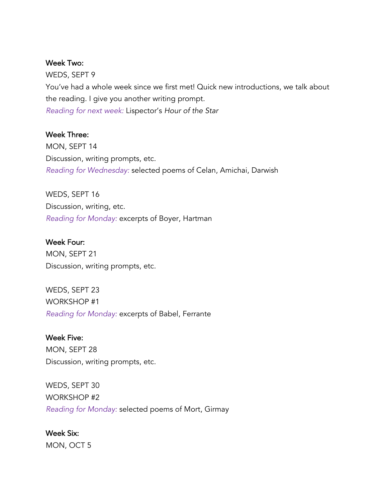#### Week Two:

WEDS, SEPT 9 You've had a whole week since we first met! Quick new introductions, we talk about the reading. I give you another writing prompt. *Reading for next week:* Lispector's *Hour of the Star*

#### Week Three:

MON, SEPT 14 Discussion, writing prompts, etc. *Reading for Wednesday:* selected poems of Celan, Amichai, Darwish

WEDS, SEPT 16 Discussion, writing, etc. *Reading for Monday:* excerpts of Boyer, Hartman

Week Four: MON, SEPT 21 Discussion, writing prompts, etc.

WEDS, SEPT 23 WORKSHOP #1 *Reading for Monday:* excerpts of Babel, Ferrante

Week Five: MON, SEPT 28 Discussion, writing prompts, etc.

WEDS, SEPT 30 WORKSHOP #2 *Reading for Monday:* selected poems of Mort, Girmay

Week Six: MON, OCT 5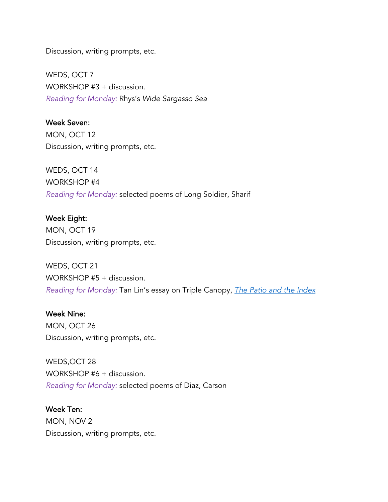Discussion, writing prompts, etc.

WEDS, OCT 7 WORKSHOP #3 + discussion. *Reading for Monday:* Rhys's *Wide Sargasso Sea*

Week Seven: MON, OCT 12

Discussion, writing prompts, etc.

WEDS, OCT 14 WORKSHOP #4 *Reading for Monday:* selected poems of Long Soldier, Sharif

Week Eight: MON, OCT 19 Discussion, writing prompts, etc.

WEDS, OCT 21 WORKSHOP #5 + discussion. *Reading for Monday:* Tan Lin's essay on Triple Canopy, *The Patio and the Index*

Week Nine:

MON, OCT 26 Discussion, writing prompts, etc.

WEDS,OCT 28 WORKSHOP #6 + discussion. *Reading for Monday:* selected poems of Diaz, Carson

Week Ten: MON, NOV 2 Discussion, writing prompts, etc.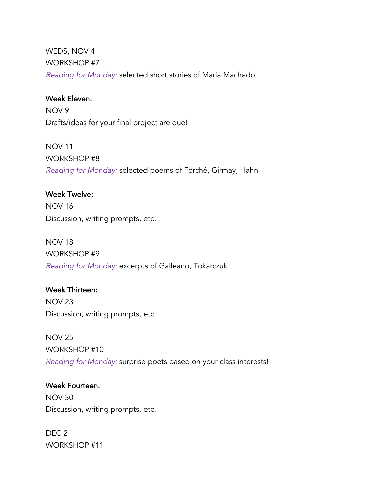WEDS, NOV 4 WORKSHOP #7 *Reading for Monday:* selected short stories of Maria Machado

## Week Eleven:

NOV 9 Drafts/ideas for your final project are due!

## NOV 11

WORKSHOP #8 *Reading for Monday:* selected poems of Forché, Girmay, Hahn

## Week Twelve:

NOV 16 Discussion, writing prompts, etc.

# NOV 18

WORKSHOP #9 *Reading for Monday:* excerpts of Galleano, Tokarczuk

## Week Thirteen:

NOV 23 Discussion, writing prompts, etc.

NOV 25 WORKSHOP #10 *Reading for Monday:* surprise poets based on your class interests!

## Week Fourteen:

NOV 30 Discussion, writing prompts, etc.

DEC 2 WORKSHOP #11